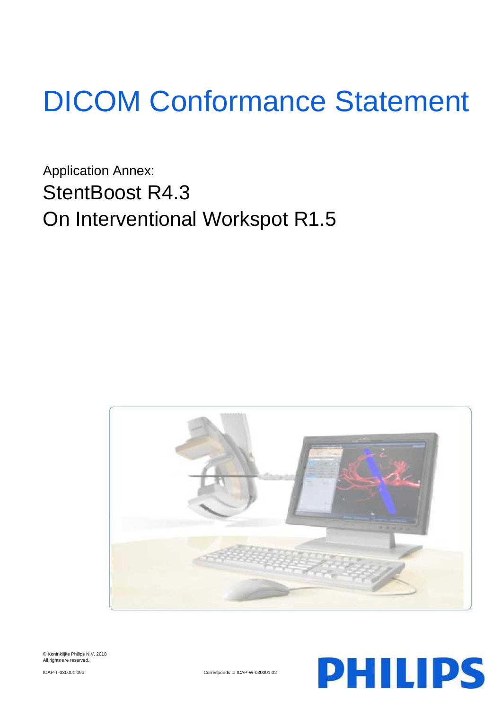# DICOM Conformance Statement

Application Annex: StentBoost R4.3 On Interventional Workspot R1.5







ICAP-T-030001.09b Corresponds to ICAP-W-030001.02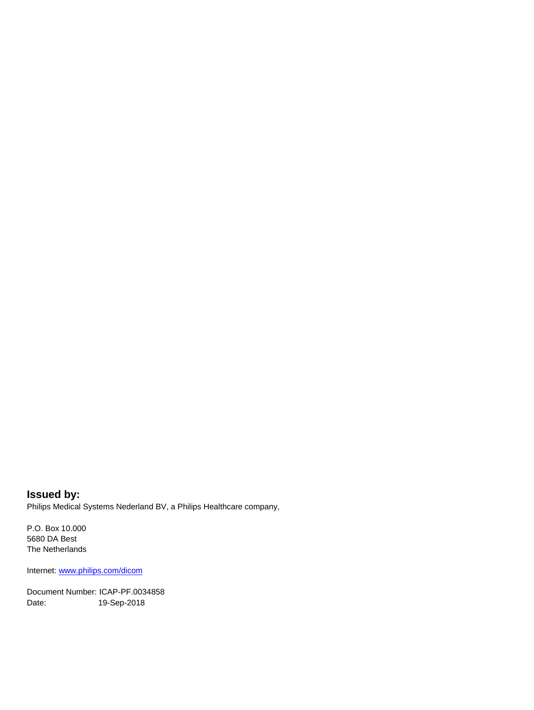**Issued by:** Philips Medical Systems Nederland BV, a Philips Healthcare company,

P.O. Box 10.000 5680 DA Best The Netherlands

Internet[: www.philips.com/dicom](www.philips.com/dicom)

Document Number: ICAP-PF.0034858 Date: 19-Sep-2018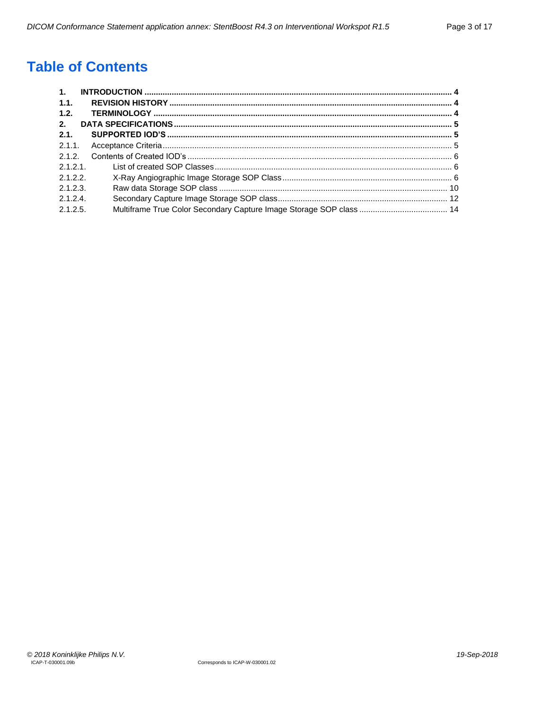## **Table of Contents**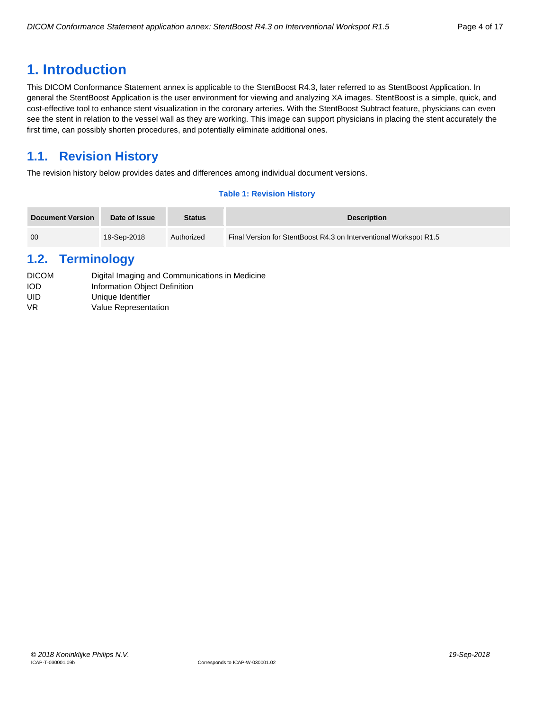## <span id="page-3-0"></span>**1. Introduction**

This DICOM Conformance Statement annex is applicable to the StentBoost R4.3, later referred to as StentBoost Application. In general the StentBoost Application is the user environment for viewing and analyzing XA images. StentBoost is a simple, quick, and cost-effective tool to enhance stent visualization in the coronary arteries. With the StentBoost Subtract feature, physicians can even see the stent in relation to the vessel wall as they are working. This image can support physicians in placing the stent accurately the first time, can possibly shorten procedures, and potentially eliminate additional ones.

## <span id="page-3-1"></span>**1.1. Revision History**

The revision history below provides dates and differences among individual document versions.

#### **Table 1: Revision History**

| <b>Document Version</b> | Date of Issue | <b>Status</b> | <b>Description</b>                                                |
|-------------------------|---------------|---------------|-------------------------------------------------------------------|
| 00                      | 19-Sep-2018   | Authorized    | Final Version for StentBoost R4.3 on Interventional Workspot R1.5 |

## <span id="page-3-2"></span>**1.2. Terminology**

| <b>DICOM</b> | Digital Imaging and Communications in Medicine |
|--------------|------------------------------------------------|
| <b>IOD</b>   | Information Object Definition                  |
| UID          | Unique Identifier                              |
| VR.          | Value Representation                           |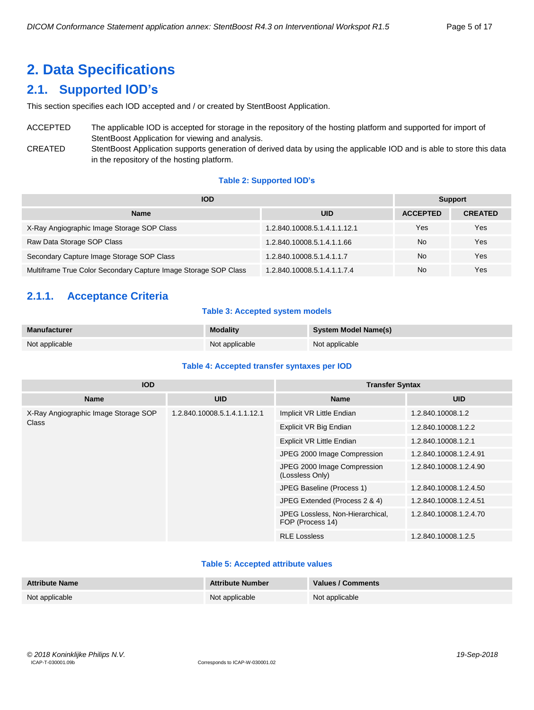## <span id="page-4-0"></span>**2. Data Specifications**

## <span id="page-4-1"></span>**2.1. Supported IOD's**

This section specifies each IOD accepted and / or created by StentBoost Application.

## ACCEPTED The applicable IOD is accepted for storage in the repository of the hosting platform and supported for import of StentBoost Application for viewing and analysis.

CREATED StentBoost Application supports generation of derived data by using the applicable IOD and is able to store this data in the repository of the hosting platform.

#### **Table 2: Supported IOD's**

| <b>IOD</b>                                                      | <b>Support</b>               |                 |                |
|-----------------------------------------------------------------|------------------------------|-----------------|----------------|
| <b>Name</b>                                                     | <b>UID</b>                   | <b>ACCEPTED</b> | <b>CREATED</b> |
| X-Ray Angiographic Image Storage SOP Class                      | 1.2.840.10008.5.1.4.1.1.12.1 | Yes             | Yes            |
| Raw Data Storage SOP Class                                      | 1.2.840.10008.5.1.4.1.1.66   | No.             | Yes            |
| Secondary Capture Image Storage SOP Class                       | 1.2.840.10008.5.1.4.1.1.7    | <b>No</b>       | Yes            |
| Multiframe True Color Secondary Capture Image Storage SOP Class | 1.2.840.10008.5.1.4.1.1.7.4  | No              | Yes            |

## <span id="page-4-2"></span>**2.1.1. Acceptance Criteria**

#### **Table 3: Accepted system models**

| Manufacturer   | <b>Modality</b> | <b>System Model Name(s)</b> |
|----------------|-----------------|-----------------------------|
| Not applicable | Not applicable  | Not applicable              |

#### **Table 4: Accepted transfer syntaxes per IOD**

| <b>IOD</b>                           |                              | <b>Transfer Syntax</b>                               |                        |  |  |
|--------------------------------------|------------------------------|------------------------------------------------------|------------------------|--|--|
| <b>Name</b>                          | <b>UID</b>                   | <b>Name</b>                                          | <b>UID</b>             |  |  |
| X-Ray Angiographic Image Storage SOP | 1.2.840.10008.5.1.4.1.1.12.1 | Implicit VR Little Endian                            | 1.2.840.10008.1.2      |  |  |
| Class                                |                              | Explicit VR Big Endian                               | 1.2.840.10008.1.2.2    |  |  |
|                                      |                              | <b>Explicit VR Little Endian</b>                     | 1.2.840.10008.1.2.1    |  |  |
|                                      |                              | JPEG 2000 Image Compression                          | 1.2.840.10008.1.2.4.91 |  |  |
|                                      |                              | JPEG 2000 Image Compression<br>(Lossless Only)       | 1.2.840.10008.1.2.4.90 |  |  |
|                                      |                              | JPEG Baseline (Process 1)                            | 1.2.840.10008.1.2.4.50 |  |  |
|                                      |                              | JPEG Extended (Process 2 & 4)                        | 1.2.840.10008.1.2.4.51 |  |  |
|                                      |                              | JPEG Lossless, Non-Hierarchical,<br>FOP (Process 14) | 1.2.840.10008.1.2.4.70 |  |  |
|                                      |                              | <b>RLE Lossless</b>                                  | 1.2.840.10008.1.2.5    |  |  |

#### **Table 5: Accepted attribute values**

| <b>Attribute Name</b> | <b>Attribute Number</b> | Values / Comments |
|-----------------------|-------------------------|-------------------|
| Not applicable        | Not applicable          | Not applicable    |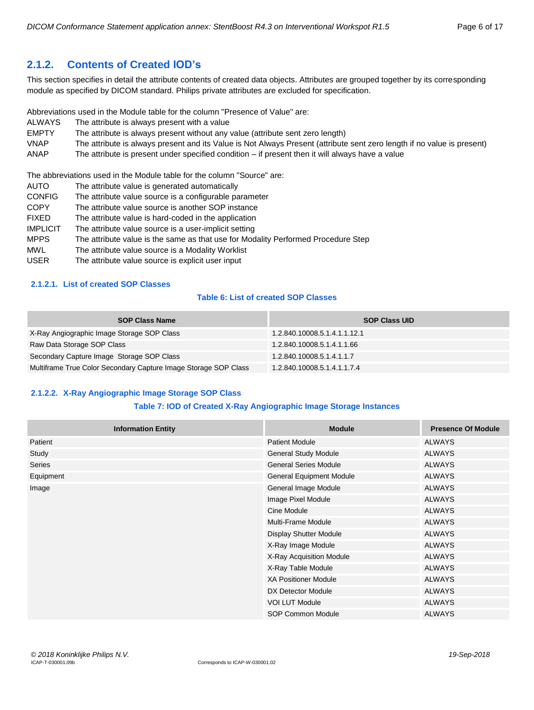### <span id="page-5-0"></span>**2.1.2. Contents of Created IOD's**

This section specifies in detail the attribute contents of created data objects. Attributes are grouped together by its corresponding module as specified by DICOM standard. Philips private attributes are excluded for specification.

Abbreviations used in the Module table for the column "Presence of Value" are:

- ALWAYS The attribute is always present with a value
- EMPTY The attribute is always present without any value (attribute sent zero length)
- VNAP The attribute is always present and its Value is Not Always Present (attribute sent zero length if no value is present)
- ANAP The attribute is present under specified condition if present then it will always have a value

The abbreviations used in the Module table for the column "Source" are:

- AUTO The attribute value is generated automatically CONFIG The attribute value source is a configurable parameter COPY The attribute value source is another SOP instance FIXED The attribute value is hard-coded in the application IMPLICIT The attribute value source is a user-implicit setting MPPS The attribute value is the same as that use for Modality Performed Procedure Step
- MWL The attribute value source is a Modality Worklist
- USER The attribute value source is explicit user input

#### <span id="page-5-1"></span>**2.1.2.1. List of created SOP Classes**

#### **Table 6: List of created SOP Classes**

| <b>SOP Class Name</b>                                           | <b>SOP Class UID</b>         |
|-----------------------------------------------------------------|------------------------------|
| X-Ray Angiographic Image Storage SOP Class                      | 1.2.840.10008.5.1.4.1.1.12.1 |
| Raw Data Storage SOP Class                                      | 1.2.840.10008.5.1.4.1.1.66   |
| Secondary Capture Image Storage SOP Class                       | 1.2.840.10008.5.1.4.1.1.7    |
| Multiframe True Color Secondary Capture Image Storage SOP Class | 1.2.840.10008.5.1.4.1.1.7.4  |

#### <span id="page-5-2"></span>**2.1.2.2. X-Ray Angiographic Image Storage SOP Class**

#### **Table 7: IOD of Created X-Ray Angiographic Image Storage Instances**

| <b>Information Entity</b> | <b>Module</b>                   | <b>Presence Of Module</b> |
|---------------------------|---------------------------------|---------------------------|
| Patient                   | <b>Patient Module</b>           | <b>ALWAYS</b>             |
| Study                     | <b>General Study Module</b>     | <b>ALWAYS</b>             |
| Series                    | <b>General Series Module</b>    | <b>ALWAYS</b>             |
| Equipment                 | <b>General Equipment Module</b> | <b>ALWAYS</b>             |
| Image                     | General Image Module            | <b>ALWAYS</b>             |
|                           | Image Pixel Module              | <b>ALWAYS</b>             |
|                           | Cine Module                     | <b>ALWAYS</b>             |
|                           | Multi-Frame Module              | <b>ALWAYS</b>             |
|                           | <b>Display Shutter Module</b>   | <b>ALWAYS</b>             |
|                           | X-Ray Image Module              | <b>ALWAYS</b>             |
|                           | X-Ray Acquisition Module        | <b>ALWAYS</b>             |
|                           | X-Ray Table Module              | <b>ALWAYS</b>             |
|                           | <b>XA Positioner Module</b>     | <b>ALWAYS</b>             |
|                           | DX Detector Module              | <b>ALWAYS</b>             |
|                           | <b>VOI LUT Module</b>           | <b>ALWAYS</b>             |
|                           | SOP Common Module               | <b>ALWAYS</b>             |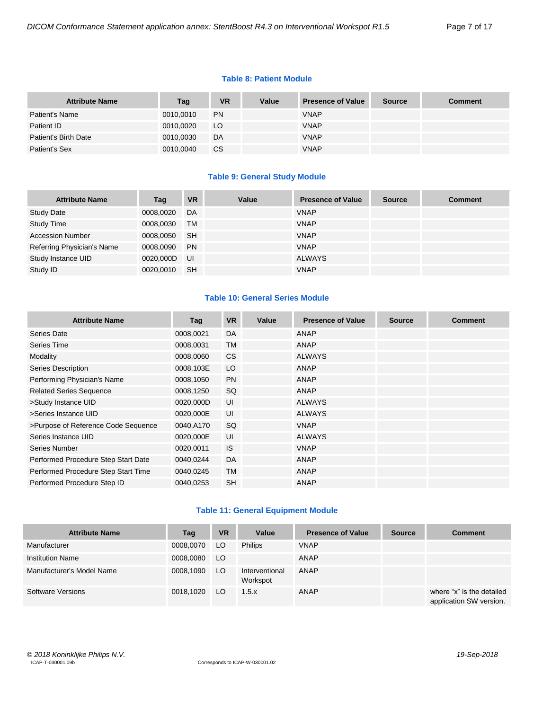#### **Table 8: Patient Module**

| <b>Attribute Name</b> | Tag       | <b>VR</b> | Value | <b>Presence of Value</b> | <b>Source</b> | <b>Comment</b> |
|-----------------------|-----------|-----------|-------|--------------------------|---------------|----------------|
| Patient's Name        | 0010,0010 | <b>PN</b> |       | <b>VNAP</b>              |               |                |
| Patient ID            | 0010,0020 | LO        |       | <b>VNAP</b>              |               |                |
| Patient's Birth Date  | 0010,0030 | DA        |       | <b>VNAP</b>              |               |                |
| Patient's Sex         | 0010,0040 | CS        |       | <b>VNAP</b>              |               |                |

#### **Table 9: General Study Module**

| <b>Attribute Name</b>      | Tag       | <b>VR</b> | Value | <b>Presence of Value</b> | <b>Source</b> | <b>Comment</b> |
|----------------------------|-----------|-----------|-------|--------------------------|---------------|----------------|
| <b>Study Date</b>          | 0008,0020 | DA        |       | <b>VNAP</b>              |               |                |
| <b>Study Time</b>          | 0008,0030 | <b>TM</b> |       | <b>VNAP</b>              |               |                |
| <b>Accession Number</b>    | 0008.0050 | <b>SH</b> |       | <b>VNAP</b>              |               |                |
| Referring Physician's Name | 0008,0090 | <b>PN</b> |       | <b>VNAP</b>              |               |                |
| Study Instance UID         | 0020.000D | UI        |       | <b>ALWAYS</b>            |               |                |
| Study ID                   | 0020.0010 | <b>SH</b> |       | <b>VNAP</b>              |               |                |

#### **Table 10: General Series Module**

| <b>Attribute Name</b>               | Tag       | <b>VR</b> | Value | <b>Presence of Value</b> | <b>Source</b> | <b>Comment</b> |
|-------------------------------------|-----------|-----------|-------|--------------------------|---------------|----------------|
| Series Date                         | 0008,0021 | DA        |       | ANAP                     |               |                |
| Series Time                         | 0008,0031 | <b>TM</b> |       | ANAP                     |               |                |
| Modality                            | 0008,0060 | <b>CS</b> |       | <b>ALWAYS</b>            |               |                |
| Series Description                  | 0008,103E | LO        |       | ANAP                     |               |                |
| Performing Physician's Name         | 0008,1050 | <b>PN</b> |       | <b>ANAP</b>              |               |                |
| <b>Related Series Sequence</b>      | 0008,1250 | <b>SQ</b> |       | ANAP                     |               |                |
| >Study Instance UID                 | 0020,000D | UI        |       | <b>ALWAYS</b>            |               |                |
| >Series Instance UID                | 0020,000E | UI        |       | <b>ALWAYS</b>            |               |                |
| >Purpose of Reference Code Sequence | 0040,A170 | SQ        |       | <b>VNAP</b>              |               |                |
| Series Instance UID                 | 0020,000E | UI        |       | <b>ALWAYS</b>            |               |                |
| Series Number                       | 0020,0011 | <b>IS</b> |       | <b>VNAP</b>              |               |                |
| Performed Procedure Step Start Date | 0040,0244 | DA        |       | ANAP                     |               |                |
| Performed Procedure Step Start Time | 0040,0245 | <b>TM</b> |       | ANAP                     |               |                |
| Performed Procedure Step ID         | 0040,0253 | <b>SH</b> |       | ANAP                     |               |                |

#### **Table 11: General Equipment Module**

| <b>Attribute Name</b>     | Tag       | <b>VR</b> | Value                      | <b>Presence of Value</b> | <b>Source</b> | <b>Comment</b>                                       |
|---------------------------|-----------|-----------|----------------------------|--------------------------|---------------|------------------------------------------------------|
| Manufacturer              | 0008,0070 | LO.       | <b>Philips</b>             | <b>VNAP</b>              |               |                                                      |
| <b>Institution Name</b>   | 0008,0080 | LO.       |                            | <b>ANAP</b>              |               |                                                      |
| Manufacturer's Model Name | 0008,1090 | LO.       | Interventional<br>Workspot | <b>ANAP</b>              |               |                                                      |
| Software Versions         | 0018.1020 | LO.       | 1.5.x                      | <b>ANAP</b>              |               | where "x" is the detailed<br>application SW version. |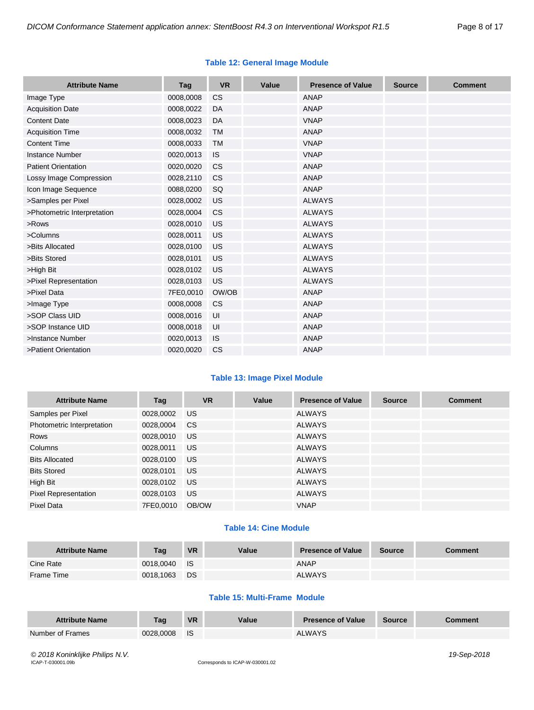#### **Table 12: General Image Module**

| <b>Attribute Name</b>       | Tag       | <b>VR</b> | Value | <b>Presence of Value</b> | <b>Source</b> | <b>Comment</b> |
|-----------------------------|-----------|-----------|-------|--------------------------|---------------|----------------|
| Image Type                  | 0008,0008 | <b>CS</b> |       | <b>ANAP</b>              |               |                |
| <b>Acquisition Date</b>     | 0008,0022 | DA        |       | ANAP                     |               |                |
| <b>Content Date</b>         | 0008,0023 | <b>DA</b> |       | <b>VNAP</b>              |               |                |
| <b>Acquisition Time</b>     | 0008,0032 | <b>TM</b> |       | <b>ANAP</b>              |               |                |
| <b>Content Time</b>         | 0008,0033 | <b>TM</b> |       | <b>VNAP</b>              |               |                |
| <b>Instance Number</b>      | 0020,0013 | <b>IS</b> |       | <b>VNAP</b>              |               |                |
| <b>Patient Orientation</b>  | 0020,0020 | <b>CS</b> |       | <b>ANAP</b>              |               |                |
| Lossy Image Compression     | 0028,2110 | <b>CS</b> |       | <b>ANAP</b>              |               |                |
| Icon Image Sequence         | 0088,0200 | SQ        |       | <b>ANAP</b>              |               |                |
| >Samples per Pixel          | 0028,0002 | US        |       | <b>ALWAYS</b>            |               |                |
| >Photometric Interpretation | 0028,0004 | <b>CS</b> |       | <b>ALWAYS</b>            |               |                |
| >Rows                       | 0028,0010 | <b>US</b> |       | <b>ALWAYS</b>            |               |                |
| >Columns                    | 0028,0011 | US        |       | <b>ALWAYS</b>            |               |                |
| >Bits Allocated             | 0028,0100 | US        |       | <b>ALWAYS</b>            |               |                |
| >Bits Stored                | 0028,0101 | US        |       | <b>ALWAYS</b>            |               |                |
| >High Bit                   | 0028,0102 | US        |       | <b>ALWAYS</b>            |               |                |
| >Pixel Representation       | 0028,0103 | US        |       | <b>ALWAYS</b>            |               |                |
| >Pixel Data                 | 7FE0,0010 | OW/OB     |       | <b>ANAP</b>              |               |                |
| >Image Type                 | 0008,0008 | <b>CS</b> |       | <b>ANAP</b>              |               |                |
| >SOP Class UID              | 0008,0016 | UI        |       | <b>ANAP</b>              |               |                |
| >SOP Instance UID           | 0008,0018 | UI        |       | <b>ANAP</b>              |               |                |
| >Instance Number            | 0020,0013 | IS        |       | <b>ANAP</b>              |               |                |
| >Patient Orientation        | 0020,0020 | <b>CS</b> |       | <b>ANAP</b>              |               |                |

#### **Table 13: Image Pixel Module**

| <b>Attribute Name</b>       | Tag       | <b>VR</b> | Value | <b>Presence of Value</b> | <b>Source</b> | <b>Comment</b> |
|-----------------------------|-----------|-----------|-------|--------------------------|---------------|----------------|
| Samples per Pixel           | 0028,0002 | <b>US</b> |       | <b>ALWAYS</b>            |               |                |
| Photometric Interpretation  | 0028,0004 | CS.       |       | <b>ALWAYS</b>            |               |                |
| Rows                        | 0028,0010 | US.       |       | <b>ALWAYS</b>            |               |                |
| Columns                     | 0028,0011 | <b>US</b> |       | <b>ALWAYS</b>            |               |                |
| <b>Bits Allocated</b>       | 0028,0100 | US.       |       | <b>ALWAYS</b>            |               |                |
| <b>Bits Stored</b>          | 0028,0101 | <b>US</b> |       | <b>ALWAYS</b>            |               |                |
| High Bit                    | 0028,0102 | US.       |       | <b>ALWAYS</b>            |               |                |
| <b>Pixel Representation</b> | 0028,0103 | US.       |       | <b>ALWAYS</b>            |               |                |
| Pixel Data                  | 7FE0.0010 | OB/OW     |       | <b>VNAP</b>              |               |                |

#### **Table 14: Cine Module**

| <b>Attribute Name</b> | Taq       | <b>VR</b>   | Value | <b>Presence of Value</b> | Source | Comment |
|-----------------------|-----------|-------------|-------|--------------------------|--------|---------|
| Cine Rate             | 0018.0040 | <b>I</b> IS |       | <b>ANAP</b>              |        |         |
| Frame Time            | 0018.1063 | <b>DS</b>   |       | <b>ALWAYS</b>            |        |         |

#### **Table 15: Multi-Frame Module**

| <b>Attribute Name</b> | Taq       | <b>VR</b> | Value | <b>Presence of Value</b> | <b>Source</b> | Comment |
|-----------------------|-----------|-----------|-------|--------------------------|---------------|---------|
| Number of Frames      | 0028.0008 | <b>IS</b> |       | <b>ALWAYS</b>            |               |         |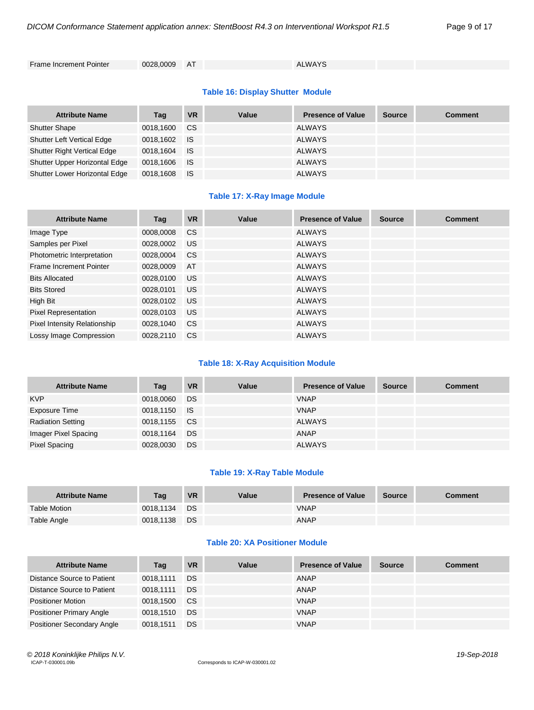Frame Increment Pointer 0028,0009 AT ALWAYS

#### **Table 16: Display Shutter Module**

| <b>Attribute Name</b>              | Tag       | <b>VR</b> | Value | <b>Presence of Value</b> | <b>Source</b> | <b>Comment</b> |
|------------------------------------|-----------|-----------|-------|--------------------------|---------------|----------------|
| <b>Shutter Shape</b>               | 0018,1600 | CS.       |       | <b>ALWAYS</b>            |               |                |
| <b>Shutter Left Vertical Edge</b>  | 0018,1602 | ⊟ IS      |       | <b>ALWAYS</b>            |               |                |
| <b>Shutter Right Vertical Edge</b> | 0018,1604 | ⊟ IS      |       | <b>ALWAYS</b>            |               |                |
| Shutter Upper Horizontal Edge      | 0018,1606 | <b>IS</b> |       | <b>ALWAYS</b>            |               |                |
| Shutter Lower Horizontal Edge      | 0018,1608 | - IS      |       | <b>ALWAYS</b>            |               |                |

#### **Table 17: X-Ray Image Module**

| <b>Attribute Name</b>        | Tag       | <b>VR</b>     | Value | <b>Presence of Value</b> | <b>Source</b> | <b>Comment</b> |
|------------------------------|-----------|---------------|-------|--------------------------|---------------|----------------|
| Image Type                   | 0008,0008 | <b>CS</b>     |       | <b>ALWAYS</b>            |               |                |
| Samples per Pixel            | 0028,0002 | <b>US</b>     |       | <b>ALWAYS</b>            |               |                |
| Photometric Interpretation   | 0028.0004 | <sub>CS</sub> |       | <b>ALWAYS</b>            |               |                |
| Frame Increment Pointer      | 0028,0009 | AT            |       | <b>ALWAYS</b>            |               |                |
| <b>Bits Allocated</b>        | 0028.0100 | <b>US</b>     |       | <b>ALWAYS</b>            |               |                |
| <b>Bits Stored</b>           | 0028,0101 | <b>US</b>     |       | <b>ALWAYS</b>            |               |                |
| High Bit                     | 0028,0102 | <b>US</b>     |       | <b>ALWAYS</b>            |               |                |
| <b>Pixel Representation</b>  | 0028,0103 | <b>US</b>     |       | <b>ALWAYS</b>            |               |                |
| Pixel Intensity Relationship | 0028,1040 | <b>CS</b>     |       | <b>ALWAYS</b>            |               |                |
| Lossy Image Compression      | 0028.2110 | <b>CS</b>     |       | <b>ALWAYS</b>            |               |                |

#### **Table 18: X-Ray Acquisition Module**

| <b>Attribute Name</b>    | Tag          | <b>VR</b> | Value | <b>Presence of Value</b> | <b>Source</b> | <b>Comment</b> |
|--------------------------|--------------|-----------|-------|--------------------------|---------------|----------------|
| <b>KVP</b>               | 0018,0060    | DS        |       | <b>VNAP</b>              |               |                |
| Exposure Time            | 0018,1150 IS |           |       | <b>VNAP</b>              |               |                |
| <b>Radiation Setting</b> | 0018,1155    | CS.       |       | <b>ALWAYS</b>            |               |                |
| Imager Pixel Spacing     | 0018,1164    | <b>DS</b> |       | <b>ANAP</b>              |               |                |
| <b>Pixel Spacing</b>     | 0028,0030    | DS        |       | <b>ALWAYS</b>            |               |                |

#### **Table 19: X-Ray Table Module**

| <b>Attribute Name</b> | Taq       | <b>VR</b> | Value | <b>Presence of Value</b> | <b>Source</b> | Comment |
|-----------------------|-----------|-----------|-------|--------------------------|---------------|---------|
| <b>Table Motion</b>   | 0018.1134 | DS        |       | <b>VNAP</b>              |               |         |
| Table Angle           | 0018,1138 | DS        |       | ANAP                     |               |         |

#### **Table 20: XA Positioner Module**

| <b>Attribute Name</b>             | Tag       | <b>VR</b> | Value | <b>Presence of Value</b> | <b>Source</b> | <b>Comment</b> |
|-----------------------------------|-----------|-----------|-------|--------------------------|---------------|----------------|
| Distance Source to Patient        | 0018.1111 | DS        |       | ANAP                     |               |                |
| Distance Source to Patient        | 0018.1111 | DS        |       | ANAP                     |               |                |
| <b>Positioner Motion</b>          | 0018.1500 | - CS      |       | <b>VNAP</b>              |               |                |
| <b>Positioner Primary Angle</b>   | 0018.1510 | DS        |       | <b>VNAP</b>              |               |                |
| <b>Positioner Secondary Angle</b> | 0018.1511 | DS        |       | <b>VNAP</b>              |               |                |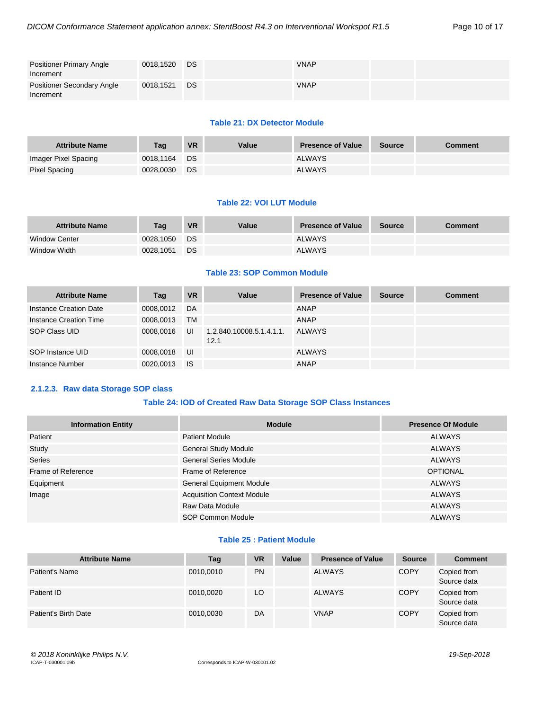| <b>Positioner Primary Angle</b><br>Increment   | 0018,1520 | DS | <b>VNAP</b> |  |
|------------------------------------------------|-----------|----|-------------|--|
| <b>Positioner Secondary Angle</b><br>Increment | 0018,1521 | DS | <b>VNAP</b> |  |

#### **Table 21: DX Detector Module**

| <b>Attribute Name</b> | Tag       | <b>VR</b> | Value | <b>Presence of Value</b> | <b>Source</b> | Comment |
|-----------------------|-----------|-----------|-------|--------------------------|---------------|---------|
| Imager Pixel Spacing  | 0018.1164 | <b>DS</b> |       | <b>ALWAYS</b>            |               |         |
| Pixel Spacing         | 0028.0030 | DS        |       | <b>ALWAYS</b>            |               |         |

#### **Table 22: VOI LUT Module**

| <b>Attribute Name</b> | Taq       | <b>VR</b> | Value | <b>Presence of Value</b> | <b>Source</b> | <b>Comment</b> |
|-----------------------|-----------|-----------|-------|--------------------------|---------------|----------------|
| <b>Window Center</b>  | 0028.1050 | DS.       |       | <b>ALWAYS</b>            |               |                |
| Window Width          | 0028.1051 | <b>DS</b> |       | <b>ALWAYS</b>            |               |                |

#### **Table 23: SOP Common Module**

| <b>Attribute Name</b>  | Tag       | <b>VR</b> | Value                            | <b>Presence of Value</b> | <b>Source</b> | <b>Comment</b> |
|------------------------|-----------|-----------|----------------------------------|--------------------------|---------------|----------------|
| Instance Creation Date | 0008.0012 | DA        |                                  | <b>ANAP</b>              |               |                |
| Instance Creation Time | 0008,0013 | TM        |                                  | <b>ANAP</b>              |               |                |
| SOP Class UID          | 0008.0016 | UI        | 1.2.840.10008.5.1.4.1.1.<br>12.1 | ALWAYS                   |               |                |
| SOP Instance UID       | 0008,0018 | UI        |                                  | <b>ALWAYS</b>            |               |                |
| Instance Number        | 0020,0013 | <b>IS</b> |                                  | ANAP                     |               |                |

#### <span id="page-9-0"></span>**2.1.2.3. Raw data Storage SOP class**

#### **Table 24: IOD of Created Raw Data Storage SOP Class Instances**

| <b>Information Entity</b> | <b>Module</b>                     | <b>Presence Of Module</b> |
|---------------------------|-----------------------------------|---------------------------|
| Patient                   | <b>Patient Module</b>             | <b>ALWAYS</b>             |
| Study                     | <b>General Study Module</b>       | <b>ALWAYS</b>             |
| Series                    | <b>General Series Module</b>      | <b>ALWAYS</b>             |
| Frame of Reference        | Frame of Reference                | <b>OPTIONAL</b>           |
| Equipment                 | <b>General Equipment Module</b>   | <b>ALWAYS</b>             |
| Image                     | <b>Acquisition Context Module</b> | <b>ALWAYS</b>             |
|                           | Raw Data Module                   | <b>ALWAYS</b>             |
|                           | SOP Common Module                 | <b>ALWAYS</b>             |

#### **Table 25 : Patient Module**

| <b>Attribute Name</b> | Tag       | <b>VR</b> | Value | <b>Presence of Value</b> | <b>Source</b> | <b>Comment</b>             |
|-----------------------|-----------|-----------|-------|--------------------------|---------------|----------------------------|
| Patient's Name        | 0010.0010 | <b>PN</b> |       | ALWAYS                   | <b>COPY</b>   | Copied from<br>Source data |
| Patient ID            | 0010.0020 | LO        |       | ALWAYS                   | <b>COPY</b>   | Copied from<br>Source data |
| Patient's Birth Date  | 0010,0030 | DA        |       | <b>VNAP</b>              | <b>COPY</b>   | Copied from<br>Source data |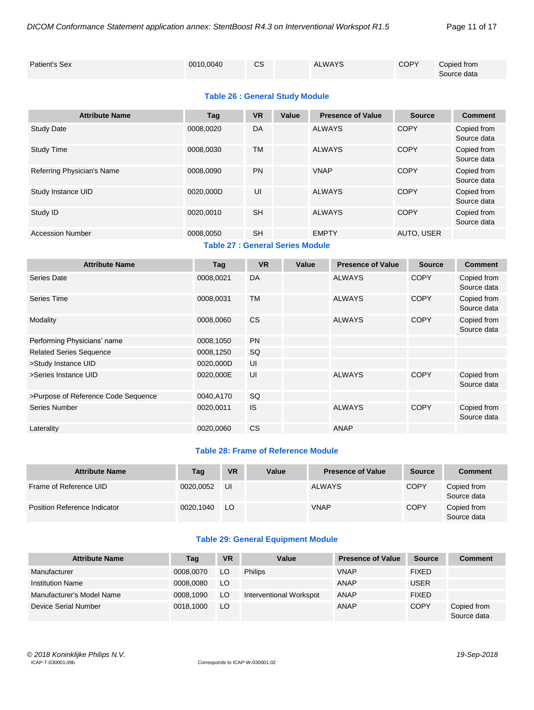| Patient's Sex | 0010,0040 | ົ<br>vo | <b>ALWAYS</b> | <b>COPY</b> | Copied from |
|---------------|-----------|---------|---------------|-------------|-------------|
|               |           |         |               |             | Source data |

#### **Table 26 : General Study Module**

| <b>Attribute Name</b>      | Tag                              | <b>VR</b> | Value | <b>Presence of Value</b> | <b>Source</b> | <b>Comment</b>             |
|----------------------------|----------------------------------|-----------|-------|--------------------------|---------------|----------------------------|
| <b>Study Date</b>          | 0008,0020                        | DA        |       | <b>ALWAYS</b>            | <b>COPY</b>   | Copied from<br>Source data |
| <b>Study Time</b>          | 0008.0030                        | <b>TM</b> |       | <b>ALWAYS</b>            | COPY          | Copied from<br>Source data |
| Referring Physician's Name | 0008,0090                        | <b>PN</b> |       | <b>VNAP</b>              | <b>COPY</b>   | Copied from<br>Source data |
| Study Instance UID         | 0020.000D                        | UI        |       | <b>ALWAYS</b>            | <b>COPY</b>   | Copied from<br>Source data |
| Study ID                   | 0020.0010                        | <b>SH</b> |       | <b>ALWAYS</b>            | <b>COPY</b>   | Copied from<br>Source data |
| <b>Accession Number</b>    | 0008,0050                        | <b>SH</b> |       | <b>EMPTY</b>             | AUTO, USER    |                            |
|                            | Table 27 : Conoral Series Module |           |       |                          |               |                            |

**Table 27 : General Series Module**

| <b>Attribute Name</b>               | Tag       | <b>VR</b> | Value | <b>Presence of Value</b> | <b>Source</b> | <b>Comment</b>             |
|-------------------------------------|-----------|-----------|-------|--------------------------|---------------|----------------------------|
| Series Date                         | 0008,0021 | DA        |       | <b>ALWAYS</b>            | <b>COPY</b>   | Copied from<br>Source data |
| Series Time                         | 0008,0031 | <b>TM</b> |       | <b>ALWAYS</b>            | <b>COPY</b>   | Copied from<br>Source data |
| Modality                            | 0008,0060 | <b>CS</b> |       | <b>ALWAYS</b>            | <b>COPY</b>   | Copied from<br>Source data |
| Performing Physicians' name         | 0008,1050 | <b>PN</b> |       |                          |               |                            |
| <b>Related Series Sequence</b>      | 0008,1250 | SQ        |       |                          |               |                            |
| >Study Instance UID                 | 0020,000D | UI        |       |                          |               |                            |
| >Series Instance UID                | 0020,000E | UI        |       | <b>ALWAYS</b>            | <b>COPY</b>   | Copied from<br>Source data |
| >Purpose of Reference Code Sequence | 0040,A170 | <b>SQ</b> |       |                          |               |                            |
| Series Number                       | 0020,0011 | <b>IS</b> |       | <b>ALWAYS</b>            | <b>COPY</b>   | Copied from<br>Source data |
| Laterality                          | 0020,0060 | <b>CS</b> |       | ANAP                     |               |                            |

#### **Table 28: Frame of Reference Module**

| <b>Attribute Name</b>        | Tag       | <b>VR</b> | Value | <b>Presence of Value</b> | <b>Source</b> | <b>Comment</b>             |
|------------------------------|-----------|-----------|-------|--------------------------|---------------|----------------------------|
| Frame of Reference UID       | 0020.0052 | UI        |       | <b>ALWAYS</b>            | <b>COPY</b>   | Copied from<br>Source data |
| Position Reference Indicator | 0020.1040 | LO        |       | <b>VNAP</b>              | <b>COPY</b>   | Copied from<br>Source data |

#### **Table 29: General Equipment Module**

| <b>Attribute Name</b>     | Tag       | <b>VR</b> | Value                   | <b>Presence of Value</b> | Source       | <b>Comment</b>             |
|---------------------------|-----------|-----------|-------------------------|--------------------------|--------------|----------------------------|
| Manufacturer              | 0008,0070 | LO.       | <b>Philips</b>          | <b>VNAP</b>              | <b>FIXED</b> |                            |
| <b>Institution Name</b>   | 0008.0080 | LO.       |                         | ANAP                     | <b>USER</b>  |                            |
| Manufacturer's Model Name | 0008.1090 | LO.       | Interventional Workspot | ANAP                     | <b>FIXED</b> |                            |
| Device Serial Number      | 0018,1000 | LO        |                         | ANAP                     | <b>COPY</b>  | Copied from<br>Source data |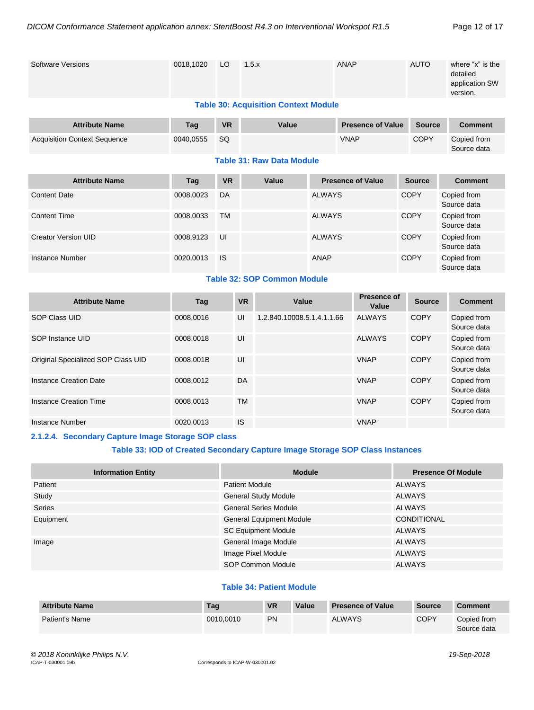| <b>Software Versions</b>                    | 0018,1020 | LO        |           | 1.5.x                              |               | <b>ANAP</b>                 |  | <b>AUTO</b>   | where "x" is the<br>detailed<br>application SW<br>version. |  |  |
|---------------------------------------------|-----------|-----------|-----------|------------------------------------|---------------|-----------------------------|--|---------------|------------------------------------------------------------|--|--|
| <b>Table 30: Acquisition Context Module</b> |           |           |           |                                    |               |                             |  |               |                                                            |  |  |
| <b>Attribute Name</b>                       | Tag       | <b>VR</b> |           | Value                              |               | <b>Presence of Value</b>    |  | <b>Source</b> | <b>Comment</b>                                             |  |  |
| <b>Acquisition Context Sequence</b>         | 0040,0555 | SQ        |           |                                    |               | <b>VNAP</b>                 |  | <b>COPY</b>   | Copied from<br>Source data                                 |  |  |
|                                             |           |           |           | <b>Table 31: Raw Data Module</b>   |               |                             |  |               |                                                            |  |  |
| <b>Attribute Name</b>                       | Tag       | <b>VR</b> |           | Value                              |               | <b>Presence of Value</b>    |  | <b>Source</b> | <b>Comment</b>                                             |  |  |
| <b>Content Date</b>                         | 0008,0023 | DA        |           |                                    | <b>ALWAYS</b> |                             |  | <b>COPY</b>   | Copied from<br>Source data                                 |  |  |
| <b>Content Time</b>                         | 0008,0033 | <b>TM</b> |           |                                    | <b>ALWAYS</b> |                             |  | <b>COPY</b>   | Copied from<br>Source data                                 |  |  |
| <b>Creator Version UID</b>                  | 0008,9123 | UI        |           |                                    | <b>ALWAYS</b> |                             |  | <b>COPY</b>   | Copied from<br>Source data                                 |  |  |
| <b>Instance Number</b>                      | 0020,0013 | <b>IS</b> |           |                                    | <b>ANAP</b>   |                             |  | <b>COPY</b>   | Copied from<br>Source data                                 |  |  |
|                                             |           |           |           | <b>Table 32: SOP Common Module</b> |               |                             |  |               |                                                            |  |  |
| <b>Attribute Name</b>                       | Tag       |           | <b>VR</b> | Value                              |               | <b>Presence of</b><br>Value |  | <b>Source</b> | <b>Comment</b>                                             |  |  |
| <b>SOP Class UID</b>                        | 0008,0016 |           | UI        | 1.2.840.10008.5.1.4.1.1.66         |               | <b>ALWAYS</b>               |  | <b>COPY</b>   | Copied from<br>Source data                                 |  |  |
| SOP Instance UID                            | 0008,0018 |           | UI        |                                    |               | <b>ALWAYS</b>               |  | <b>COPY</b>   | Copied from<br>Source data                                 |  |  |
| Original Specialized SOP Class UID          | 0008,001B |           | UI        |                                    |               | <b>VNAP</b>                 |  | <b>COPY</b>   | Copied from<br>Source data                                 |  |  |
| <b>Instance Creation Date</b>               | 0008,0012 |           | DA        |                                    |               | <b>VNAP</b>                 |  | <b>COPY</b>   | Copied from<br>Source data                                 |  |  |
| <b>Instance Creation Time</b>               | 0008,0013 |           | <b>TM</b> |                                    |               | <b>VNAP</b>                 |  | <b>COPY</b>   | Copied from<br>Source data                                 |  |  |
| <b>Instance Number</b>                      | 0020,0013 |           | <b>IS</b> |                                    |               | <b>VNAP</b>                 |  |               |                                                            |  |  |

#### <span id="page-11-0"></span>**2.1.2.4. Secondary Capture Image Storage SOP class**

#### **Table 33: IOD of Created Secondary Capture Image Storage SOP Class Instances**

| <b>Information Entity</b> | <b>Module</b>                   | <b>Presence Of Module</b> |
|---------------------------|---------------------------------|---------------------------|
| Patient                   | <b>Patient Module</b>           | <b>ALWAYS</b>             |
| Study                     | <b>General Study Module</b>     | <b>ALWAYS</b>             |
| <b>Series</b>             | <b>General Series Module</b>    | <b>ALWAYS</b>             |
| Equipment                 | <b>General Equipment Module</b> | <b>CONDITIONAL</b>        |
|                           | <b>SC Equipment Module</b>      | <b>ALWAYS</b>             |
| Image                     | General Image Module            | <b>ALWAYS</b>             |
|                           | Image Pixel Module              | <b>ALWAYS</b>             |
|                           | <b>SOP Common Module</b>        | <b>ALWAYS</b>             |

#### **Table 34: Patient Module**

| <b>Attribute Name</b> | Tag       | <b>VR</b> | Value | <b>Presence of Value</b> | <b>Source</b> | <b>Comment</b>             |
|-----------------------|-----------|-----------|-------|--------------------------|---------------|----------------------------|
| <b>Patient's Name</b> | 0010.0010 | <b>PN</b> |       | <b>ALWAYS</b>            | COPY          | Copied from<br>Source data |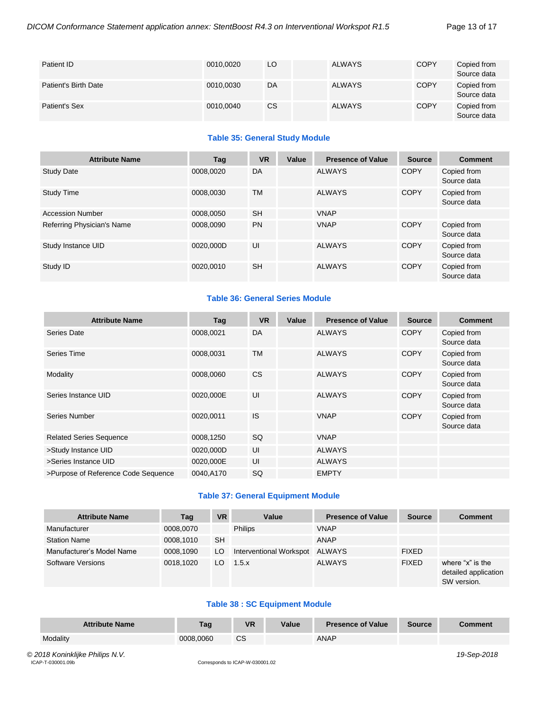| Patient ID           | 0010,0020 | LO        | <b>ALWAYS</b> | <b>COPY</b> | Copied from<br>Source data |
|----------------------|-----------|-----------|---------------|-------------|----------------------------|
| Patient's Birth Date | 0010,0030 | DA        | <b>ALWAYS</b> | <b>COPY</b> | Copied from<br>Source data |
| Patient's Sex        | 0010,0040 | <b>CS</b> | <b>ALWAYS</b> | <b>COPY</b> | Copied from<br>Source data |

#### **Table 35: General Study Module**

| <b>Attribute Name</b>      | Tag       | <b>VR</b> | Value | <b>Presence of Value</b> | <b>Source</b> | <b>Comment</b>             |
|----------------------------|-----------|-----------|-------|--------------------------|---------------|----------------------------|
| <b>Study Date</b>          | 0008.0020 | DA        |       | <b>ALWAYS</b>            | <b>COPY</b>   | Copied from<br>Source data |
| <b>Study Time</b>          | 0008.0030 | <b>TM</b> |       | <b>ALWAYS</b>            | <b>COPY</b>   | Copied from<br>Source data |
| <b>Accession Number</b>    | 0008.0050 | <b>SH</b> |       | <b>VNAP</b>              |               |                            |
| Referring Physician's Name | 0008,0090 | <b>PN</b> |       | <b>VNAP</b>              | <b>COPY</b>   | Copied from<br>Source data |
| Study Instance UID         | 0020.000D | UI        |       | <b>ALWAYS</b>            | <b>COPY</b>   | Copied from<br>Source data |
| Study ID                   | 0020,0010 | <b>SH</b> |       | <b>ALWAYS</b>            | <b>COPY</b>   | Copied from<br>Source data |

#### **Table 36: General Series Module**

| <b>Attribute Name</b>               | Tag       | <b>VR</b> | Value | <b>Presence of Value</b> | <b>Source</b> | <b>Comment</b>             |
|-------------------------------------|-----------|-----------|-------|--------------------------|---------------|----------------------------|
| Series Date                         | 0008,0021 | DA        |       | <b>ALWAYS</b>            | <b>COPY</b>   | Copied from<br>Source data |
| Series Time                         | 0008,0031 | <b>TM</b> |       | <b>ALWAYS</b>            | <b>COPY</b>   | Copied from<br>Source data |
| Modality                            | 0008,0060 | <b>CS</b> |       | <b>ALWAYS</b>            | <b>COPY</b>   | Copied from<br>Source data |
| Series Instance UID                 | 0020,000E | UI        |       | <b>ALWAYS</b>            | <b>COPY</b>   | Copied from<br>Source data |
| Series Number                       | 0020,0011 | <b>IS</b> |       | <b>VNAP</b>              | <b>COPY</b>   | Copied from<br>Source data |
| <b>Related Series Sequence</b>      | 0008,1250 | <b>SQ</b> |       | <b>VNAP</b>              |               |                            |
| >Study Instance UID                 | 0020,000D | UI        |       | <b>ALWAYS</b>            |               |                            |
| >Series Instance UID                | 0020,000E | UI        |       | <b>ALWAYS</b>            |               |                            |
| >Purpose of Reference Code Sequence | 0040,A170 | SQ        |       | <b>EMPTY</b>             |               |                            |

#### **Table 37: General Equipment Module**

| <b>Attribute Name</b>     | Tag       | <b>VR</b> | Value                   | <b>Presence of Value</b> | <b>Source</b> | <b>Comment</b>                                          |
|---------------------------|-----------|-----------|-------------------------|--------------------------|---------------|---------------------------------------------------------|
| Manufacturer              | 0008,0070 |           | <b>Philips</b>          | <b>VNAP</b>              |               |                                                         |
| <b>Station Name</b>       | 0008.1010 | <b>SH</b> |                         | ANAP                     |               |                                                         |
| Manufacturer's Model Name | 0008,1090 | LO.       | Interventional Workspot | ALWAYS                   | <b>FIXED</b>  |                                                         |
| <b>Software Versions</b>  | 0018.1020 | LO        | 1.5.x                   | <b>ALWAYS</b>            | <b>FIXED</b>  | where "x" is the<br>detailed application<br>SW version. |

#### **Table 38 : SC Equipment Module**

| <b>Attribute Name</b> | Tag       | <b>VR</b> | Value | <b>Presence of Value</b> | <b>Source</b> | <b>Comment</b> |
|-----------------------|-----------|-----------|-------|--------------------------|---------------|----------------|
| Modality              | 0008,0060 | СS        |       | <b>ANAP</b>              |               |                |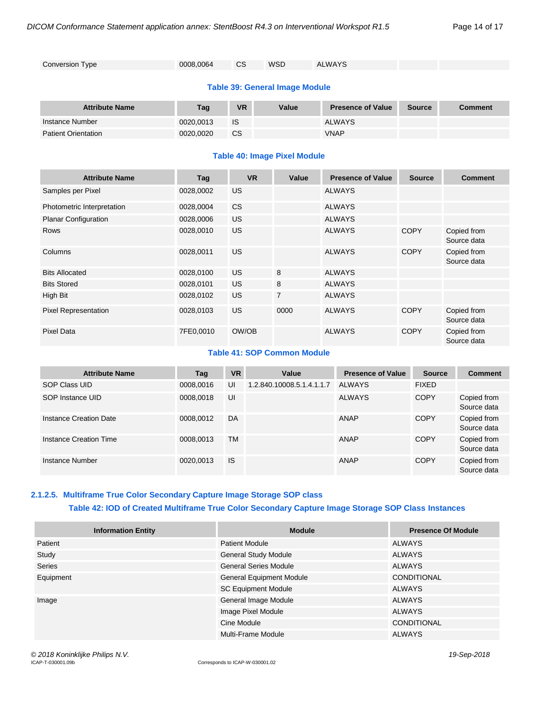| Conversion Type | 0008,0064 | CS. | WSD | ALWAYS |
|-----------------|-----------|-----|-----|--------|
|                 |           |     |     |        |

#### **Table 39: General Image Module**

| <b>Attribute Name</b>      | Tag       | <b>VR</b> | Value | <b>Presence of Value</b> | <b>Source</b> | <b>Comment</b> |
|----------------------------|-----------|-----------|-------|--------------------------|---------------|----------------|
| Instance Number            | 0020.0013 | IS        |       | ALWAYS                   |               |                |
| <b>Patient Orientation</b> | 0020.0020 | <b>CS</b> |       | <b>VNAP</b>              |               |                |

#### **Table 40: Image Pixel Module**

| <b>Attribute Name</b>       | Tag       | <b>VR</b> | Value          | <b>Presence of Value</b> | <b>Source</b> | <b>Comment</b>             |
|-----------------------------|-----------|-----------|----------------|--------------------------|---------------|----------------------------|
| Samples per Pixel           | 0028,0002 | US.       |                | <b>ALWAYS</b>            |               |                            |
| Photometric Interpretation  | 0028,0004 | CS.       |                | <b>ALWAYS</b>            |               |                            |
| Planar Configuration        | 0028,0006 | US.       |                | <b>ALWAYS</b>            |               |                            |
| <b>Rows</b>                 | 0028,0010 | US.       |                | <b>ALWAYS</b>            | <b>COPY</b>   | Copied from<br>Source data |
| Columns                     | 0028,0011 | <b>US</b> |                | <b>ALWAYS</b>            | <b>COPY</b>   | Copied from<br>Source data |
| <b>Bits Allocated</b>       | 0028,0100 | <b>US</b> | 8              | <b>ALWAYS</b>            |               |                            |
| <b>Bits Stored</b>          | 0028,0101 | US.       | 8              | <b>ALWAYS</b>            |               |                            |
| High Bit                    | 0028,0102 | US.       | $\overline{7}$ | <b>ALWAYS</b>            |               |                            |
| <b>Pixel Representation</b> | 0028,0103 | <b>US</b> | 0000           | <b>ALWAYS</b>            | <b>COPY</b>   | Copied from<br>Source data |
| <b>Pixel Data</b>           | 7FE0,0010 | OW/OB     |                | <b>ALWAYS</b>            | <b>COPY</b>   | Copied from<br>Source data |

#### **Table 41: SOP Common Module**

| <b>Attribute Name</b>  | Tag       | <b>VR</b> | Value                     | <b>Presence of Value</b> | <b>Source</b> | <b>Comment</b>             |
|------------------------|-----------|-----------|---------------------------|--------------------------|---------------|----------------------------|
| SOP Class UID          | 0008.0016 | UI        | 1.2.840.10008.5.1.4.1.1.7 | ALWAYS                   | <b>FIXED</b>  |                            |
| SOP Instance UID       | 0008,0018 | UI        |                           | <b>ALWAYS</b>            | <b>COPY</b>   | Copied from<br>Source data |
| Instance Creation Date | 0008.0012 | DA        |                           | ANAP                     | <b>COPY</b>   | Copied from<br>Source data |
| Instance Creation Time | 0008.0013 | <b>TM</b> |                           | ANAP                     | <b>COPY</b>   | Copied from<br>Source data |
| Instance Number        | 0020.0013 | <b>IS</b> |                           | ANAP                     | <b>COPY</b>   | Copied from<br>Source data |

#### <span id="page-13-0"></span>**2.1.2.5. Multiframe True Color Secondary Capture Image Storage SOP class Table 42: IOD of Created Multiframe True Color Secondary Capture Image Storage SOP Class Instances**

| <b>Information Entity</b> | <b>Module</b>                | <b>Presence Of Module</b> |
|---------------------------|------------------------------|---------------------------|
| Patient                   | <b>Patient Module</b>        | ALWAYS                    |
| Study                     | <b>General Study Module</b>  | <b>ALWAYS</b>             |
| Series                    | <b>General Series Module</b> | <b>ALWAYS</b>             |
| Equipment                 | General Equipment Module     | <b>CONDITIONAL</b>        |
|                           | <b>SC Equipment Module</b>   | <b>ALWAYS</b>             |
| Image                     | General Image Module         | <b>ALWAYS</b>             |
|                           | Image Pixel Module           | <b>ALWAYS</b>             |
|                           | Cine Module                  | <b>CONDITIONAL</b>        |
|                           | Multi-Frame Module           | <b>ALWAYS</b>             |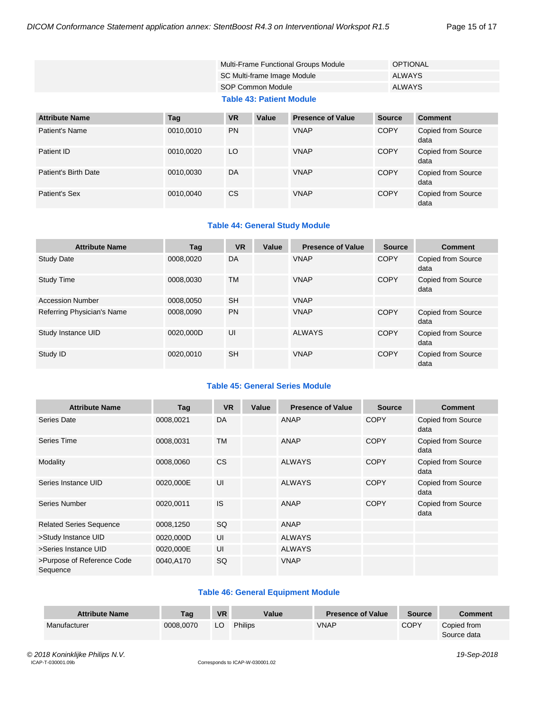| Multi-Frame Functional Groups Module | OPTIONAL |
|--------------------------------------|----------|
| SC Multi-frame Image Module          | ALWAYS   |
| SOP Common Module                    | ALWAYS   |
| <b>Table 43: Patient Module</b>      |          |

| <b>Attribute Name</b> | Tag       | <b>VR</b> | Value | <b>Presence of Value</b> | <b>Source</b> | <b>Comment</b>                    |
|-----------------------|-----------|-----------|-------|--------------------------|---------------|-----------------------------------|
| Patient's Name        | 0010,0010 | <b>PN</b> |       | <b>VNAP</b>              | <b>COPY</b>   | Copied from Source<br>data        |
| Patient ID            | 0010,0020 | LO        |       | <b>VNAP</b>              | <b>COPY</b>   | Copied from Source<br>data        |
| Patient's Birth Date  | 0010,0030 | DA        |       | <b>VNAP</b>              | <b>COPY</b>   | <b>Copied from Source</b><br>data |
| Patient's Sex         | 0010,0040 | <b>CS</b> |       | <b>VNAP</b>              | <b>COPY</b>   | Copied from Source<br>data        |

#### **Table 44: General Study Module**

| <b>Attribute Name</b>      | Tag       | <b>VR</b> | Value | <b>Presence of Value</b> | <b>Source</b> | <b>Comment</b>             |
|----------------------------|-----------|-----------|-------|--------------------------|---------------|----------------------------|
| <b>Study Date</b>          | 0008.0020 | DA        |       | <b>VNAP</b>              | <b>COPY</b>   | Copied from Source<br>data |
| Study Time                 | 0008.0030 | TM        |       | <b>VNAP</b>              | <b>COPY</b>   | Copied from Source<br>data |
| <b>Accession Number</b>    | 0008,0050 | <b>SH</b> |       | <b>VNAP</b>              |               |                            |
| Referring Physician's Name | 0008.0090 | <b>PN</b> |       | <b>VNAP</b>              | <b>COPY</b>   | Copied from Source<br>data |
| Study Instance UID         | 0020,000D | UI        |       | <b>ALWAYS</b>            | <b>COPY</b>   | Copied from Source<br>data |
| Study ID                   | 0020,0010 | <b>SH</b> |       | <b>VNAP</b>              | <b>COPY</b>   | Copied from Source<br>data |

#### **Table 45: General Series Module**

| <b>Attribute Name</b>                  | Tag       | <b>VR</b> | Value | <b>Presence of Value</b> | <b>Source</b> | <b>Comment</b>                    |
|----------------------------------------|-----------|-----------|-------|--------------------------|---------------|-----------------------------------|
| Series Date                            | 0008,0021 | DA        |       | ANAP                     | <b>COPY</b>   | Copied from Source<br>data        |
| Series Time                            | 0008,0031 | <b>TM</b> |       | ANAP                     | <b>COPY</b>   | Copied from Source<br>data        |
| Modality                               | 0008,0060 | <b>CS</b> |       | <b>ALWAYS</b>            | <b>COPY</b>   | Copied from Source<br>data        |
| Series Instance UID                    | 0020,000E | UI        |       | <b>ALWAYS</b>            | <b>COPY</b>   | <b>Copied from Source</b><br>data |
| Series Number                          | 0020,0011 | <b>IS</b> |       | ANAP                     | <b>COPY</b>   | <b>Copied from Source</b><br>data |
| <b>Related Series Sequence</b>         | 0008,1250 | SQ        |       | ANAP                     |               |                                   |
| >Study Instance UID                    | 0020,000D | UI        |       | <b>ALWAYS</b>            |               |                                   |
| >Series Instance UID                   | 0020,000E | UI        |       | <b>ALWAYS</b>            |               |                                   |
| >Purpose of Reference Code<br>Sequence | 0040,A170 | SQ        |       | <b>VNAP</b>              |               |                                   |

#### **Table 46: General Equipment Module**

| <b>Attribute Name</b> | Taq       | <b>VR</b> | Value   | <b>Presence of Value</b> | <b>Source</b> | <b>Comment</b>             |
|-----------------------|-----------|-----------|---------|--------------------------|---------------|----------------------------|
| Manufacturer          | 0008.0070 | LO        | Philips | <b>VNAP</b>              | <b>COPY</b>   | Copied from<br>Source data |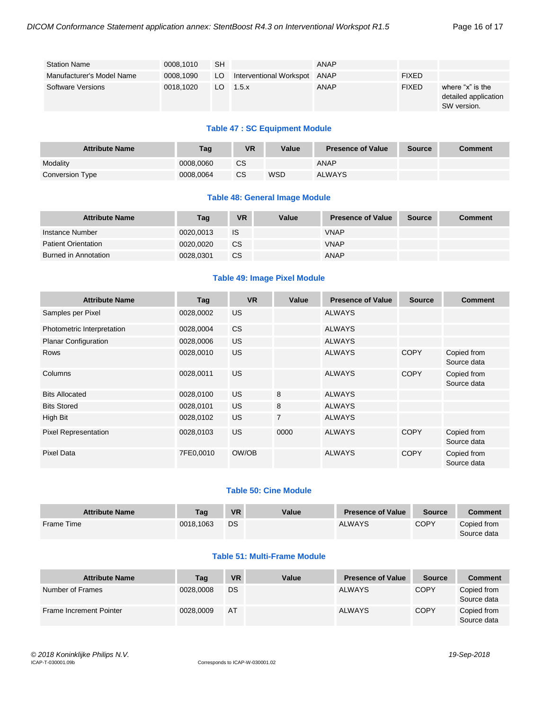| <b>Station Name</b>       | 0008.1010 | <b>SH</b> |                              | ANAP        |              |                                                         |
|---------------------------|-----------|-----------|------------------------------|-------------|--------------|---------------------------------------------------------|
| Manufacturer's Model Name | 0008,1090 | LO        | Interventional Workspot ANAP |             | <b>FIXED</b> |                                                         |
| <b>Software Versions</b>  | 0018.1020 | LO.       | $1.5 \times$                 | <b>ANAP</b> | <b>FIXED</b> | where "x" is the<br>detailed application<br>SW version. |

#### **Table 47 : SC Equipment Module**

| <b>Attribute Name</b> | Tag       | <b>VR</b> | Value | <b>Presence of Value</b> | <b>Source</b> | <b>Comment</b> |
|-----------------------|-----------|-----------|-------|--------------------------|---------------|----------------|
| Modality              | 0008.0060 | CS        |       | <b>ANAP</b>              |               |                |
| Conversion Type       | 0008.0064 | CS        | WSD   | <b>ALWAYS</b>            |               |                |

#### **Table 48: General Image Module**

| <b>Attribute Name</b>       | Tag       | <b>VR</b> | Value | <b>Presence of Value</b> | <b>Source</b> | <b>Comment</b> |
|-----------------------------|-----------|-----------|-------|--------------------------|---------------|----------------|
| Instance Number             | 0020.0013 | IS        |       | <b>VNAP</b>              |               |                |
| <b>Patient Orientation</b>  | 0020.0020 | CS.       |       | <b>VNAP</b>              |               |                |
| <b>Burned in Annotation</b> | 0028.0301 | CS        |       | <b>ANAP</b>              |               |                |

#### **Table 49: Image Pixel Module**

| <b>Attribute Name</b>       | Tag       | <b>VR</b> | Value          | <b>Presence of Value</b> | <b>Source</b> | <b>Comment</b>             |
|-----------------------------|-----------|-----------|----------------|--------------------------|---------------|----------------------------|
| Samples per Pixel           | 0028,0002 | <b>US</b> |                | <b>ALWAYS</b>            |               |                            |
| Photometric Interpretation  | 0028,0004 | <b>CS</b> |                | <b>ALWAYS</b>            |               |                            |
| <b>Planar Configuration</b> | 0028,0006 | <b>US</b> |                | <b>ALWAYS</b>            |               |                            |
| <b>Rows</b>                 | 0028,0010 | <b>US</b> |                | <b>ALWAYS</b>            | <b>COPY</b>   | Copied from<br>Source data |
| Columns                     | 0028,0011 | <b>US</b> |                | <b>ALWAYS</b>            | <b>COPY</b>   | Copied from<br>Source data |
| <b>Bits Allocated</b>       | 0028,0100 | <b>US</b> | 8              | <b>ALWAYS</b>            |               |                            |
| <b>Bits Stored</b>          | 0028,0101 | <b>US</b> | 8              | <b>ALWAYS</b>            |               |                            |
| High Bit                    | 0028,0102 | US        | $\overline{7}$ | <b>ALWAYS</b>            |               |                            |
| <b>Pixel Representation</b> | 0028,0103 | <b>US</b> | 0000           | <b>ALWAYS</b>            | <b>COPY</b>   | Copied from<br>Source data |
| <b>Pixel Data</b>           | 7FE0,0010 | OW/OB     |                | <b>ALWAYS</b>            | <b>COPY</b>   | Copied from<br>Source data |

#### **Table 50: Cine Module**

| <b>Attribute Name</b> | Tag       | <b>VR</b> | Value | <b>Presence of Value</b> | <b>Source</b> | Comment                    |
|-----------------------|-----------|-----------|-------|--------------------------|---------------|----------------------------|
| Frame Time            | 0018.1063 | DS        |       | <b>ALWAYS</b>            | COPY          | Copied from<br>Source data |

#### **Table 51: Multi-Frame Module**

| <b>Attribute Name</b>   | Tag       | VR.       | Value | <b>Presence of Value</b> | <b>Source</b> | <b>Comment</b>             |
|-------------------------|-----------|-----------|-------|--------------------------|---------------|----------------------------|
| Number of Frames        | 0028,0008 | DS        |       | <b>ALWAYS</b>            | <b>COPY</b>   | Copied from<br>Source data |
| Frame Increment Pointer | 0028.0009 | <b>AT</b> |       | <b>ALWAYS</b>            | <b>COPY</b>   | Copied from<br>Source data |